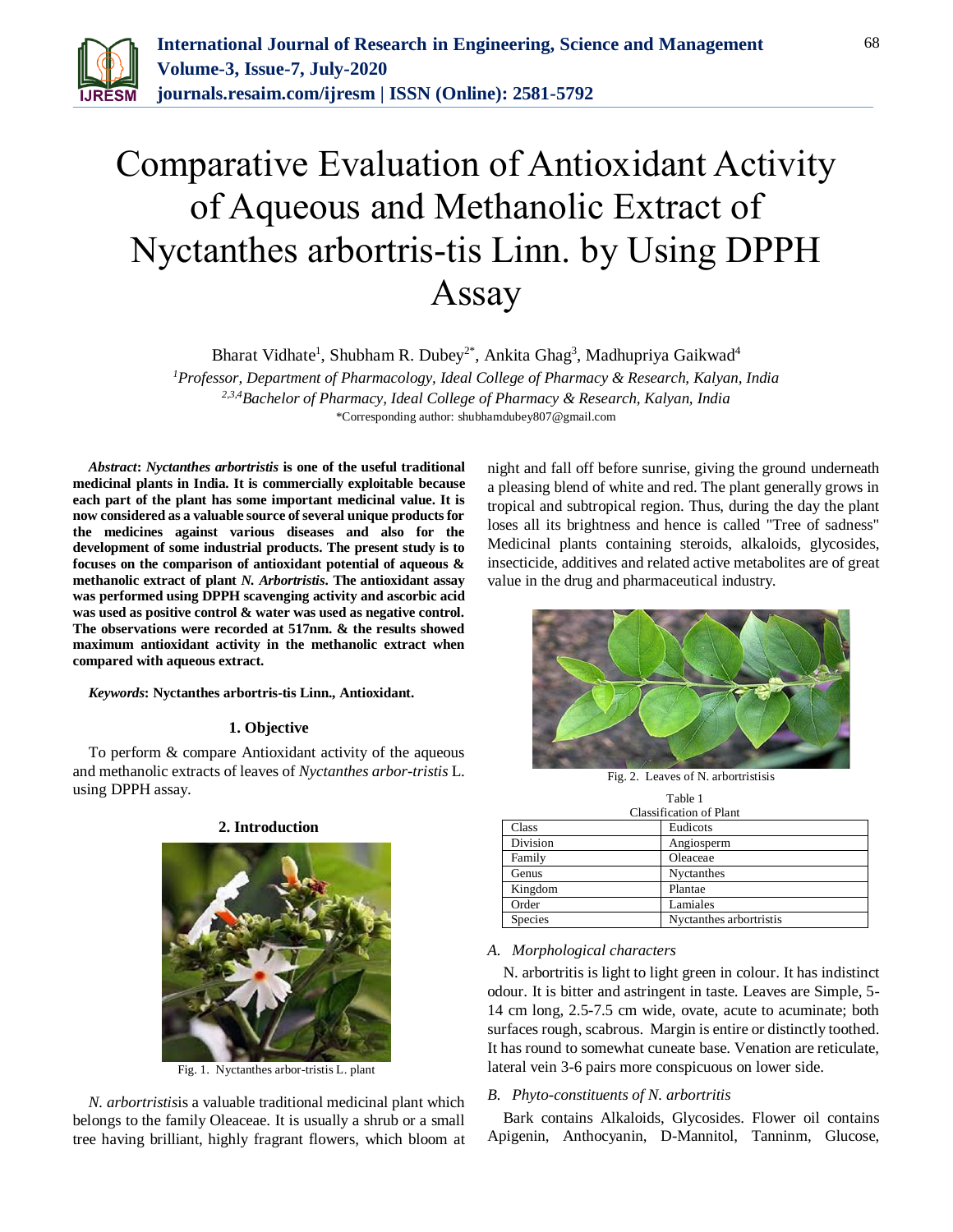

# Comparative Evaluation of Antioxidant Activity of Aqueous and Methanolic Extract of Nyctanthes arbortris-tis Linn. by Using DPPH Assay

Bharat Vidhate<sup>1</sup>, Shubham R. Dubey<sup>2\*</sup>, Ankita Ghag<sup>3</sup>, Madhupriya Gaikwad<sup>4</sup> *<sup>1</sup>Professor, Department of Pharmacology, Ideal College of Pharmacy & Research, Kalyan, India*

*2,3,4Bachelor of Pharmacy, Ideal College of Pharmacy & Research, Kalyan, India* \*Corresponding author: shubhamdubey807@gmail.com

*Abstract***:** *Nyctanthes arbortristis* **is one of the useful traditional medicinal plants in India. It is commercially exploitable because each part of the plant has some important medicinal value. It is now considered as a valuable source of several unique products for the medicines against various diseases and also for the development of some industrial products. The present study is to focuses on the comparison of antioxidant potential of aqueous & methanolic extract of plant** *N. Arbortristis***. The antioxidant assay was performed using DPPH scavenging activity and ascorbic acid was used as positive control & water was used as negative control. The observations were recorded at 517nm. & the results showed maximum antioxidant activity in the methanolic extract when compared with aqueous extract.**

*Keywords***: Nyctanthes arbortris-tis Linn., Antioxidant.**

## **1. Objective**

To perform & compare Antioxidant activity of the aqueous and methanolic extracts of leaves of *Nyctanthes arbor-tristis* L. using DPPH assay.

#### **2. Introduction**



Fig. 1. Nyctanthes arbor-tristis L. plant

*N. arbortristis*is a valuable traditional medicinal plant which belongs to the family Oleaceae. It is usually a shrub or a small tree having brilliant, highly fragrant flowers, which bloom at night and fall off before sunrise, giving the ground underneath a pleasing blend of white and red. The plant generally grows in tropical and subtropical region. Thus, during the day the plant loses all its brightness and hence is called "Tree of sadness" Medicinal plants containing steroids, alkaloids, glycosides, insecticide, additives and related active metabolites are of great value in the drug and pharmaceutical industry.



Fig. 2. Leaves of N. arbortristisis

| Table 1<br><b>Classification of Plant</b> |                         |  |  |  |
|-------------------------------------------|-------------------------|--|--|--|
|                                           |                         |  |  |  |
| Division                                  | Angiosperm              |  |  |  |
| Family                                    | Oleaceae                |  |  |  |
| Genus                                     | Nyctanthes              |  |  |  |
| Kingdom                                   | Plantae                 |  |  |  |
| Order                                     | Lamiales                |  |  |  |
| <b>Species</b>                            | Nyctanthes arbortristis |  |  |  |

#### *A. Morphological characters*

N. arbortritis is light to light green in colour. It has indistinct odour. It is bitter and astringent in taste. Leaves are Simple, 5- 14 cm long, 2.5-7.5 cm wide, ovate, acute to acuminate; both surfaces rough, scabrous. Margin is entire or distinctly toothed. It has round to somewhat cuneate base. Venation are reticulate, lateral vein 3-6 pairs more conspicuous on lower side.

#### *B. Phyto-constituents of N. arbortritis*

Bark contains Alkaloids, Glycosides. Flower oil contains Apigenin, Anthocyanin, D-Mannitol, Tanninm, Glucose,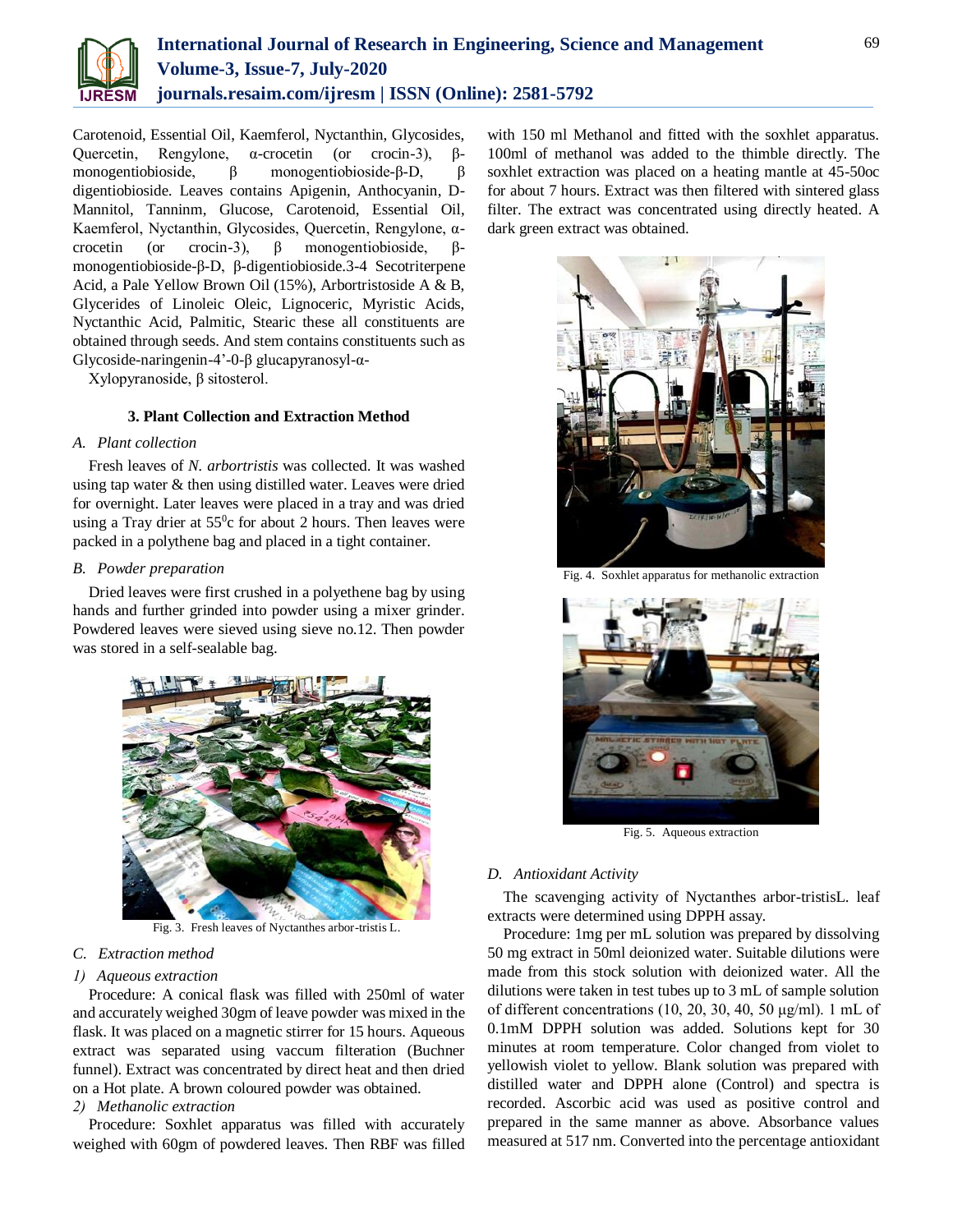

Carotenoid, Essential Oil, Kaemferol, Nyctanthin, Glycosides, Quercetin, Rengylone, α-crocetin (or crocin-3), βmonogentiobioside, β monogentiobioside-β-D, β digentiobioside. Leaves contains Apigenin, Anthocyanin, D-Mannitol, Tanninm, Glucose, Carotenoid, Essential Oil, Kaemferol, Nyctanthin, Glycosides, Quercetin, Rengylone, αcrocetin (or crocin-3), β monogentiobioside, βmonogentiobioside-β-D, β-digentiobioside.3-4 Secotriterpene Acid, a Pale Yellow Brown Oil (15%), Arbortristoside A & B, Glycerides of Linoleic Oleic, Lignoceric, Myristic Acids, Nyctanthic Acid, Palmitic, Stearic these all constituents are obtained through seeds. And stem contains constituents such as Glycoside-naringenin-4'-0-β glucapyranosyl-α-

Xylopyranoside, β sitosterol.

## **3. Plant Collection and Extraction Method**

## *A. Plant collection*

Fresh leaves of *N. arbortristis* was collected. It was washed using tap water & then using distilled water. Leaves were dried for overnight. Later leaves were placed in a tray and was dried using a Tray drier at  $55^{\circ}$ c for about 2 hours. Then leaves were packed in a polythene bag and placed in a tight container.

## *B. Powder preparation*

Dried leaves were first crushed in a polyethene bag by using hands and further grinded into powder using a mixer grinder. Powdered leaves were sieved using sieve no.12. Then powder was stored in a self-sealable bag.



Fig. 3. Fresh leaves of Nyctanthes arbor-tristis L.

## *C. Extraction method*

## *1) Aqueous extraction*

Procedure: A conical flask was filled with 250ml of water and accurately weighed 30gm of leave powder was mixed in the flask. It was placed on a magnetic stirrer for 15 hours. Aqueous extract was separated using vaccum filteration (Buchner funnel). Extract was concentrated by direct heat and then dried on a Hot plate. A brown coloured powder was obtained.

## *2) Methanolic extraction*

Procedure: Soxhlet apparatus was filled with accurately weighed with 60gm of powdered leaves. Then RBF was filled with 150 ml Methanol and fitted with the soxhlet apparatus. 100ml of methanol was added to the thimble directly. The soxhlet extraction was placed on a heating mantle at 45-50oc for about 7 hours. Extract was then filtered with sintered glass filter. The extract was concentrated using directly heated. A dark green extract was obtained.



Fig. 4. Soxhlet apparatus for methanolic extraction



Fig. 5. Aqueous extraction

## *D. Antioxidant Activity*

The scavenging activity of Nyctanthes arbor-tristisL. leaf extracts were determined using DPPH assay.

Procedure: 1mg per mL solution was prepared by dissolving 50 mg extract in 50ml deionized water. Suitable dilutions were made from this stock solution with deionized water. All the dilutions were taken in test tubes up to 3 mL of sample solution of different concentrations (10, 20, 30, 40, 50 μg/ml). 1 mL of 0.1mM DPPH solution was added. Solutions kept for 30 minutes at room temperature. Color changed from violet to yellowish violet to yellow. Blank solution was prepared with distilled water and DPPH alone (Control) and spectra is recorded. Ascorbic acid was used as positive control and prepared in the same manner as above. Absorbance values measured at 517 nm. Converted into the percentage antioxidant